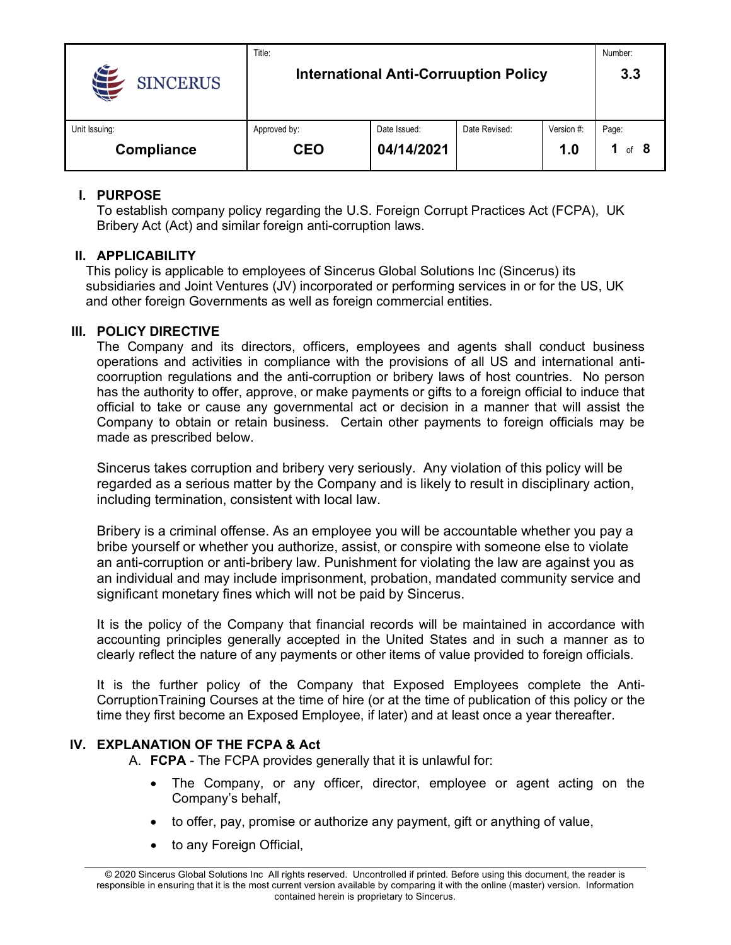|                 | Title:                                       |              |               |            | Number:  |
|-----------------|----------------------------------------------|--------------|---------------|------------|----------|
| <b>SINCERUS</b> | <b>International Anti-Corruuption Policy</b> |              |               |            | 3.3      |
| Unit Issuing:   | Approved by:                                 | Date Issued: | Date Revised: | Version #: | Page:    |
| Compliance      | <b>CEO</b>                                   | 04/14/2021   |               | 1.0        | -8<br>of |

# **I. PURPOSE**

To establish company policy regarding the U.S. Foreign Corrupt Practices Act (FCPA), UK Bribery Act (Act) and similar foreign anti-corruption laws.

# **II. APPLICABILITY**

This policy is applicable to employees of Sincerus Global Solutions Inc (Sincerus) its subsidiaries and Joint Ventures (JV) incorporated or performing services in or for the US, UK and other foreign Governments as well as foreign commercial entities.

# **III. POLICY DIRECTIVE**

The Company and its directors, officers, employees and agents shall conduct business operations and activities in compliance with the provisions of all US and international anticoorruption regulations and the anti-corruption or bribery laws of host countries. No person has the authority to offer, approve, or make payments or gifts to a foreign official to induce that official to take or cause any governmental act or decision in a manner that will assist the Company to obtain or retain business. Certain other payments to foreign officials may be made as prescribed below.

Sincerus takes corruption and bribery very seriously. Any violation of this policy will be regarded as a serious matter by the Company and is likely to result in disciplinary action, including termination, consistent with local law.

Bribery is a criminal offense. As an employee you will be accountable whether you pay a bribe yourself or whether you authorize, assist, or conspire with someone else to violate an anti-corruption or anti-bribery law. Punishment for violating the law are against you as an individual and may include imprisonment, probation, mandated community service and significant monetary fines which will not be paid by Sincerus.

It is the policy of the Company that financial records will be maintained in accordance with accounting principles generally accepted in the United States and in such a manner as to clearly reflect the nature of any payments or other items of value provided to foreign officials.

It is the further policy of the Company that Exposed Employees complete the Anti-CorruptionTraining Courses at the time of hire (or at the time of publication of this policy or the time they first become an Exposed Employee, if later) and at least once a year thereafter.

# **IV. EXPLANATION OF THE FCPA & Act**

A. **FCPA** - The FCPA provides generally that it is unlawful for:

- The Company, or any officer, director, employee or agent acting on the Company's behalf,
- to offer, pay, promise or authorize any payment, gift or anything of value,
- to any Foreign Official,

© 2020 Sincerus Global Solutions Inc All rights reserved. Uncontrolled if printed. Before using this document, the reader is responsible in ensuring that it is the most current version available by comparing it with the online (master) version. Information contained herein is proprietary to Sincerus.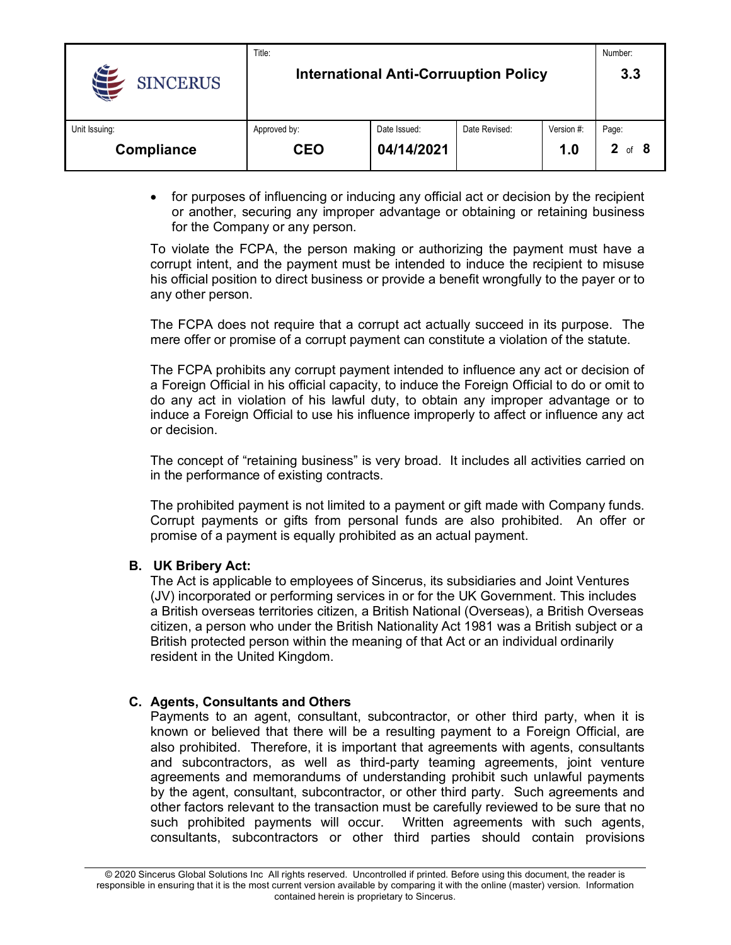|                 | Title:                                       |              |               |            | Number: |
|-----------------|----------------------------------------------|--------------|---------------|------------|---------|
| <b>SINCERUS</b> | <b>International Anti-Corruuption Policy</b> |              |               |            | 3.3     |
| Unit Issuing:   | Approved by:                                 | Date Issued: | Date Revised: | Version #: | Page:   |
| Compliance      | CEO                                          | 04/14/2021   |               | 1.0        | Ωf      |

• for purposes of influencing or inducing any official act or decision by the recipient or another, securing any improper advantage or obtaining or retaining business for the Company or any person.

To violate the FCPA, the person making or authorizing the payment must have a corrupt intent, and the payment must be intended to induce the recipient to misuse his official position to direct business or provide a benefit wrongfully to the payer or to any other person.

The FCPA does not require that a corrupt act actually succeed in its purpose. The mere offer or promise of a corrupt payment can constitute a violation of the statute.

The FCPA prohibits any corrupt payment intended to influence any act or decision of a Foreign Official in his official capacity, to induce the Foreign Official to do or omit to do any act in violation of his lawful duty, to obtain any improper advantage or to induce a Foreign Official to use his influence improperly to affect or influence any act or decision.

The concept of "retaining business" is very broad. It includes all activities carried on in the performance of existing contracts.

The prohibited payment is not limited to a payment or gift made with Company funds. Corrupt payments or gifts from personal funds are also prohibited. An offer or promise of a payment is equally prohibited as an actual payment.

#### **B. UK Bribery Act:**

The Act is applicable to employees of Sincerus, its subsidiaries and Joint Ventures (JV) incorporated or performing services in or for the UK Government. This includes a British overseas territories citizen, a British National (Overseas), a British Overseas citizen, a person who under the British Nationality Act 1981 was a British subject or a British protected person within the meaning of that Act or an individual ordinarily resident in the United Kingdom.

#### **C. Agents, Consultants and Others**

Payments to an agent, consultant, subcontractor, or other third party, when it is known or believed that there will be a resulting payment to a Foreign Official, are also prohibited. Therefore, it is important that agreements with agents, consultants and subcontractors, as well as third-party teaming agreements, joint venture agreements and memorandums of understanding prohibit such unlawful payments by the agent, consultant, subcontractor, or other third party. Such agreements and other factors relevant to the transaction must be carefully reviewed to be sure that no such prohibited payments will occur. Written agreements with such agents, consultants, subcontractors or other third parties should contain provisions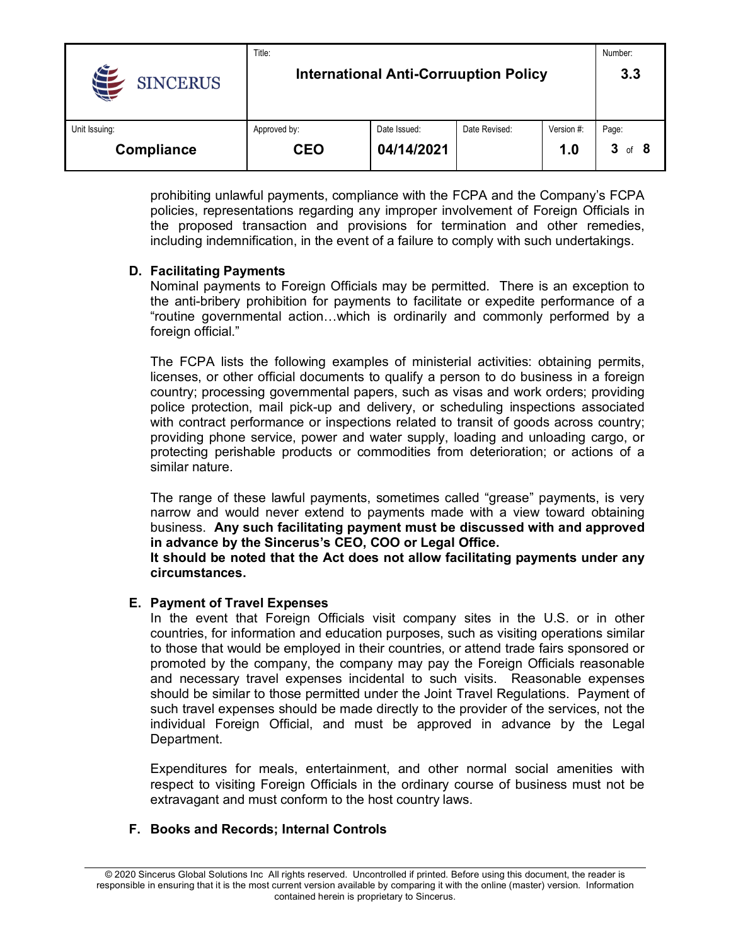|                       | Title:                                       |              |               |            | Number:     |
|-----------------------|----------------------------------------------|--------------|---------------|------------|-------------|
| 44<br><b>SINCERUS</b> | <b>International Anti-Corruuption Policy</b> |              |               |            | 3.3         |
| Unit Issuing:         | Approved by:                                 | Date Issued: | Date Revised: | Version #: | Page:       |
| Compliance            | CEO                                          | 04/14/2021   |               | 1.0        | 3<br>of $8$ |

prohibiting unlawful payments, compliance with the FCPA and the Company's FCPA policies, representations regarding any improper involvement of Foreign Officials in the proposed transaction and provisions for termination and other remedies, including indemnification, in the event of a failure to comply with such undertakings.

### **D. Facilitating Payments**

Nominal payments to Foreign Officials may be permitted. There is an exception to the anti-bribery prohibition for payments to facilitate or expedite performance of a "routine governmental action…which is ordinarily and commonly performed by a foreign official."

The FCPA lists the following examples of ministerial activities: obtaining permits, licenses, or other official documents to qualify a person to do business in a foreign country; processing governmental papers, such as visas and work orders; providing police protection, mail pick-up and delivery, or scheduling inspections associated with contract performance or inspections related to transit of goods across country; providing phone service, power and water supply, loading and unloading cargo, or protecting perishable products or commodities from deterioration; or actions of a similar nature.

The range of these lawful payments, sometimes called "grease" payments, is very narrow and would never extend to payments made with a view toward obtaining business. **Any such facilitating payment must be discussed with and approved in advance by the Sincerus's CEO, COO or Legal Office.**

**It should be noted that the Act does not allow facilitating payments under any circumstances.** 

### **E. Payment of Travel Expenses**

In the event that Foreign Officials visit company sites in the U.S. or in other countries, for information and education purposes, such as visiting operations similar to those that would be employed in their countries, or attend trade fairs sponsored or promoted by the company, the company may pay the Foreign Officials reasonable and necessary travel expenses incidental to such visits. Reasonable expenses should be similar to those permitted under the Joint Travel Regulations. Payment of such travel expenses should be made directly to the provider of the services, not the individual Foreign Official, and must be approved in advance by the Legal Department.

Expenditures for meals, entertainment, and other normal social amenities with respect to visiting Foreign Officials in the ordinary course of business must not be extravagant and must conform to the host country laws.

### **F. Books and Records; Internal Controls**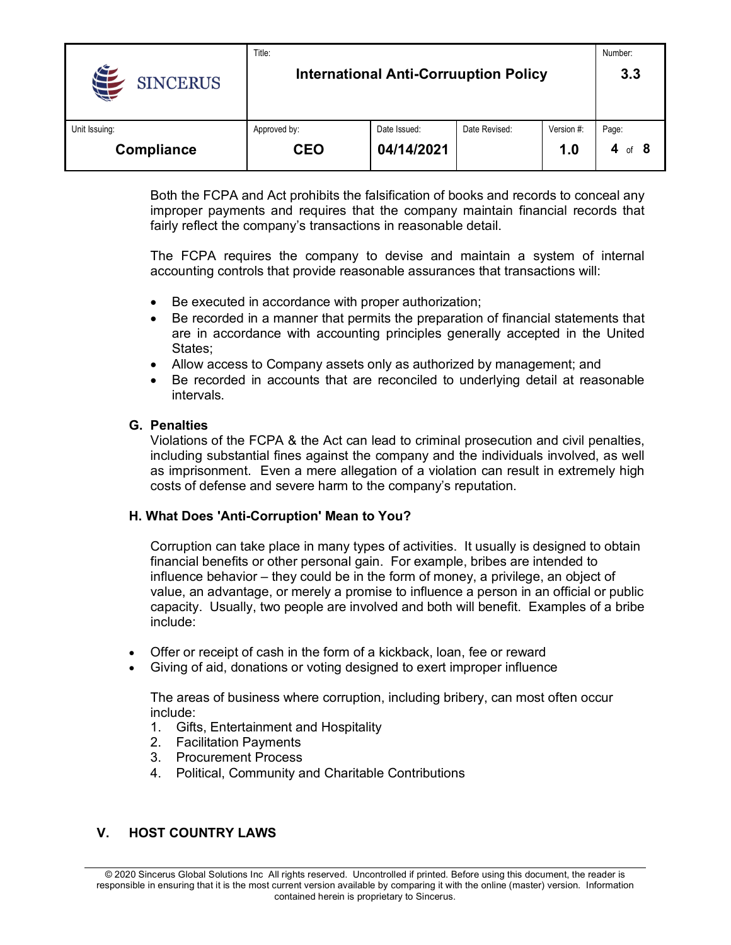|                               | Title:                                       |              |               |            | Number:     |
|-------------------------------|----------------------------------------------|--------------|---------------|------------|-------------|
| <b>Aft</b><br><b>SINCERUS</b> | <b>International Anti-Corruuption Policy</b> |              |               |            | 3.3         |
| Unit Issuing:                 | Approved by:                                 | Date Issued: | Date Revised: | Version #: | Page:       |
| Compliance                    | <b>CEO</b>                                   | 04/14/2021   |               | 1.0        | 4<br>of $8$ |

Both the FCPA and Act prohibits the falsification of books and records to conceal any improper payments and requires that the company maintain financial records that fairly reflect the company's transactions in reasonable detail.

The FCPA requires the company to devise and maintain a system of internal accounting controls that provide reasonable assurances that transactions will:

- Be executed in accordance with proper authorization;
- Be recorded in a manner that permits the preparation of financial statements that are in accordance with accounting principles generally accepted in the United States;
- Allow access to Company assets only as authorized by management; and
- Be recorded in accounts that are reconciled to underlying detail at reasonable intervals.

#### **G. Penalties**

Violations of the FCPA & the Act can lead to criminal prosecution and civil penalties, including substantial fines against the company and the individuals involved, as well as imprisonment. Even a mere allegation of a violation can result in extremely high costs of defense and severe harm to the company's reputation.

### **H. What Does 'Anti-Corruption' Mean to You?**

Corruption can take place in many types of activities. It usually is designed to obtain financial benefits or other personal gain. For example, bribes are intended to influence behavior – they could be in the form of money, a privilege, an object of value, an advantage, or merely a promise to influence a person in an official or public capacity. Usually, two people are involved and both will benefit. Examples of a bribe include:

- Offer or receipt of cash in the form of a kickback, loan, fee or reward
- Giving of aid, donations or voting designed to exert improper influence

The areas of business where corruption, including bribery, can most often occur include:

- 1. Gifts, Entertainment and Hospitality
- 2. Facilitation Payments
- 3. Procurement Process
- 4. Political, Community and Charitable Contributions

# **V. HOST COUNTRY LAWS**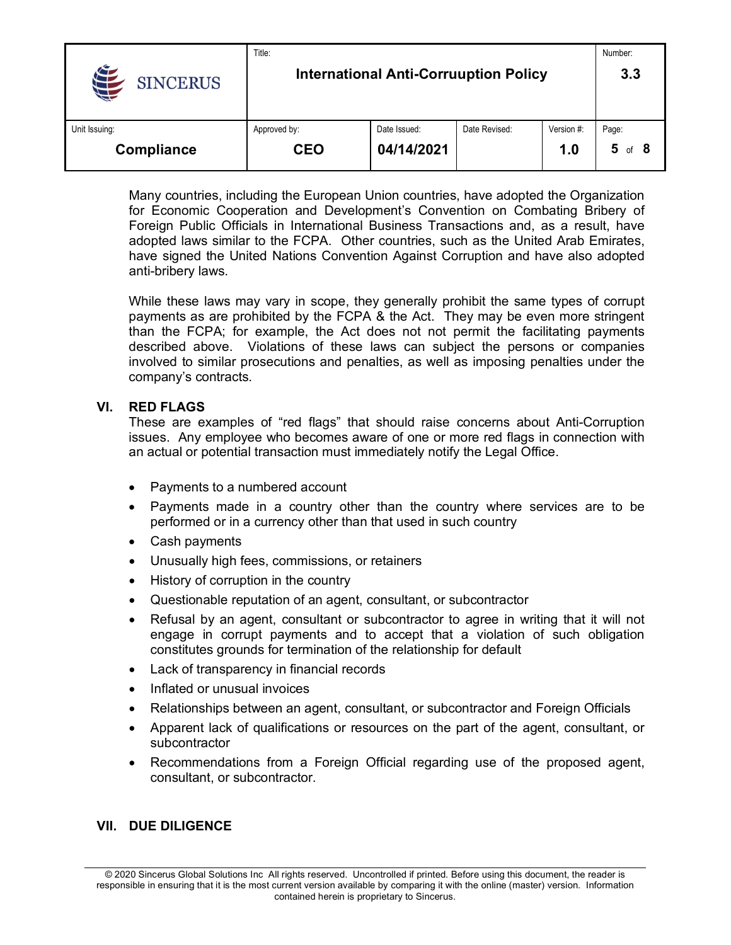|                                | Title:                                       |              |               |            | Number:     |
|--------------------------------|----------------------------------------------|--------------|---------------|------------|-------------|
| $\bigoplus$<br><b>SINCERUS</b> | <b>International Anti-Corruuption Policy</b> | 3.3          |               |            |             |
| Unit Issuing:                  | Approved by:                                 | Date Issued: | Date Revised: | Version #: | Page:       |
| Compliance                     | CEO                                          | 04/14/2021   |               | 1.0        | 5<br>of $8$ |

Many countries, including the European Union countries, have adopted the Organization for Economic Cooperation and Development's Convention on Combating Bribery of Foreign Public Officials in International Business Transactions and, as a result, have adopted laws similar to the FCPA. Other countries, such as the United Arab Emirates, have signed the United Nations Convention Against Corruption and have also adopted anti-bribery laws.

While these laws may vary in scope, they generally prohibit the same types of corrupt payments as are prohibited by the FCPA & the Act. They may be even more stringent than the FCPA; for example, the Act does not not permit the facilitating payments described above. Violations of these laws can subject the persons or companies involved to similar prosecutions and penalties, as well as imposing penalties under the company's contracts.

#### **VI. RED FLAGS**

These are examples of "red flags" that should raise concerns about Anti-Corruption issues. Any employee who becomes aware of one or more red flags in connection with an actual or potential transaction must immediately notify the Legal Office.

- Payments to a numbered account
- Payments made in a country other than the country where services are to be performed or in a currency other than that used in such country
- Cash payments
- Unusually high fees, commissions, or retainers
- History of corruption in the country
- Questionable reputation of an agent, consultant, or subcontractor
- Refusal by an agent, consultant or subcontractor to agree in writing that it will not engage in corrupt payments and to accept that a violation of such obligation constitutes grounds for termination of the relationship for default
- Lack of transparency in financial records
- Inflated or unusual invoices
- Relationships between an agent, consultant, or subcontractor and Foreign Officials
- Apparent lack of qualifications or resources on the part of the agent, consultant, or subcontractor
- Recommendations from a Foreign Official regarding use of the proposed agent, consultant, or subcontractor.

#### **VII. DUE DILIGENCE**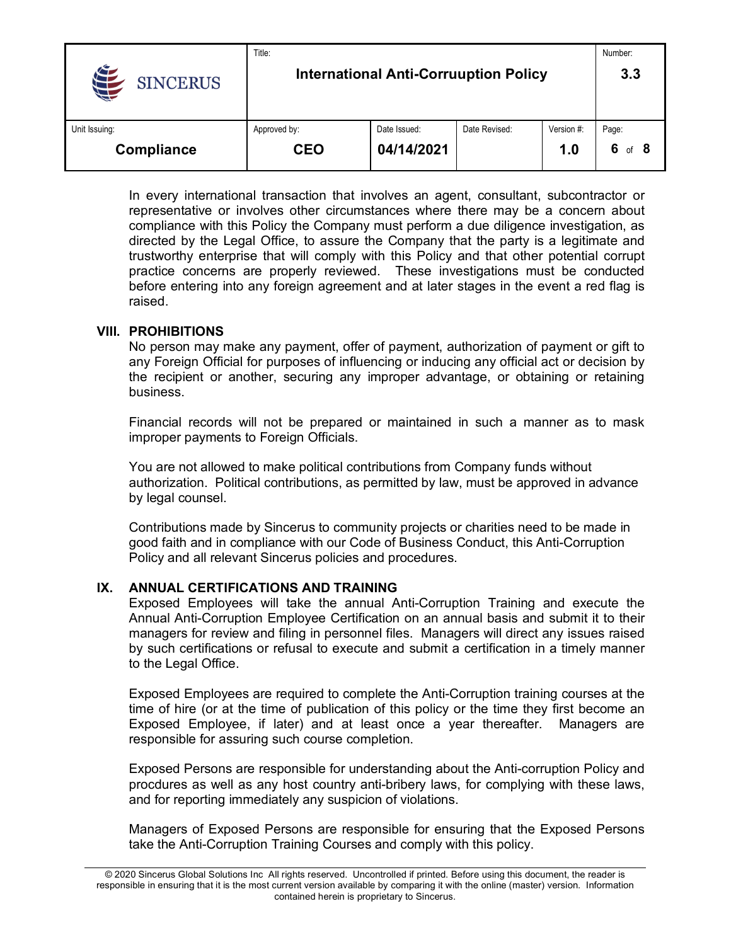|                 | Title:                                       |              |               |            | Number:     |
|-----------------|----------------------------------------------|--------------|---------------|------------|-------------|
| <b>SINCERUS</b> | <b>International Anti-Corruuption Policy</b> | 3.3          |               |            |             |
| Unit Issuing:   | Approved by:                                 | Date Issued: | Date Revised: | Version #: | Page:       |
| Compliance      | CEO                                          | 04/14/2021   |               | 1.0        | 6<br>of $8$ |

In every international transaction that involves an agent, consultant, subcontractor or representative or involves other circumstances where there may be a concern about compliance with this Policy the Company must perform a due diligence investigation, as directed by the Legal Office, to assure the Company that the party is a legitimate and trustworthy enterprise that will comply with this Policy and that other potential corrupt practice concerns are properly reviewed. These investigations must be conducted before entering into any foreign agreement and at later stages in the event a red flag is raised.

### **VIII. PROHIBITIONS**

No person may make any payment, offer of payment, authorization of payment or gift to any Foreign Official for purposes of influencing or inducing any official act or decision by the recipient or another, securing any improper advantage, or obtaining or retaining business.

Financial records will not be prepared or maintained in such a manner as to mask improper payments to Foreign Officials.

You are not allowed to make political contributions from Company funds without authorization. Political contributions, as permitted by law, must be approved in advance by legal counsel.

Contributions made by Sincerus to community projects or charities need to be made in good faith and in compliance with our Code of Business Conduct, this Anti-Corruption Policy and all relevant Sincerus policies and procedures.

### **IX. ANNUAL CERTIFICATIONS AND TRAINING**

Exposed Employees will take the annual Anti-Corruption Training and execute the Annual Anti-Corruption Employee Certification on an annual basis and submit it to their managers for review and filing in personnel files. Managers will direct any issues raised by such certifications or refusal to execute and submit a certification in a timely manner to the Legal Office.

Exposed Employees are required to complete the Anti-Corruption training courses at the time of hire (or at the time of publication of this policy or the time they first become an Exposed Employee, if later) and at least once a year thereafter. Managers are responsible for assuring such course completion.

Exposed Persons are responsible for understanding about the Anti-corruption Policy and procdures as well as any host country anti-bribery laws, for complying with these laws, and for reporting immediately any suspicion of violations.

Managers of Exposed Persons are responsible for ensuring that the Exposed Persons take the Anti-Corruption Training Courses and comply with this policy.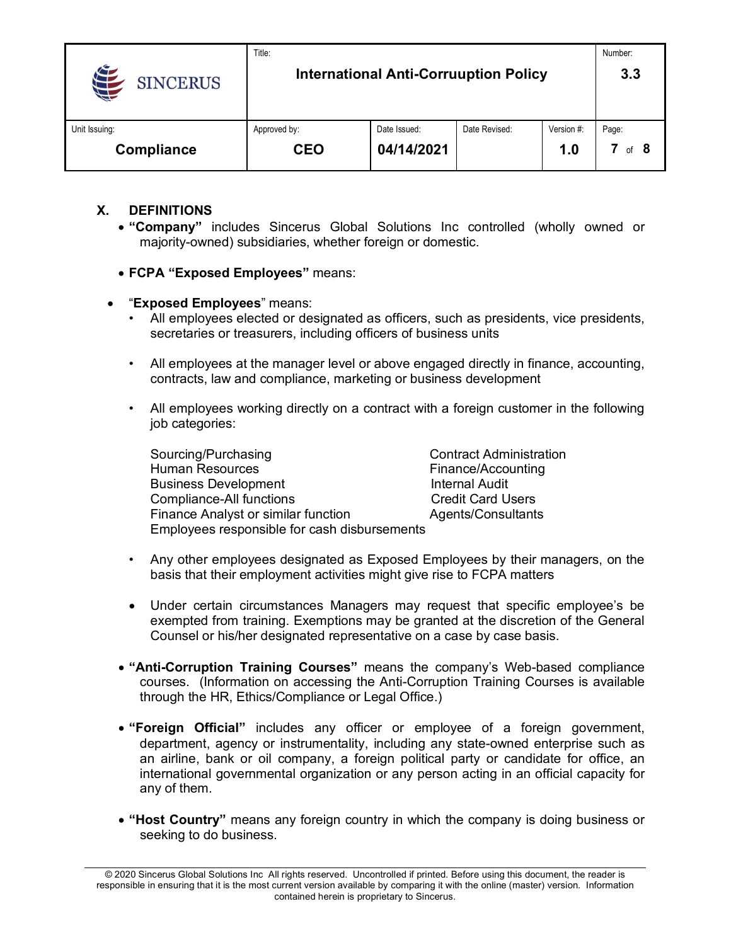|                   | Title:                                       |              |               |            | Number: |
|-------------------|----------------------------------------------|--------------|---------------|------------|---------|
| <b>SINCERUS</b>   | <b>International Anti-Corruuption Policy</b> |              |               |            | 3.3     |
| Unit Issuing:     | Approved by:                                 | Date Issued: | Date Revised: | Version #: | Page:   |
| <b>Compliance</b> | CEO                                          | 04/14/2021   |               | 1.0        | of $8$  |

# **X. DEFINITIONS**

- **"Company"** includes Sincerus Global Solutions Inc controlled (wholly owned or majority-owned) subsidiaries, whether foreign or domestic.
- **FCPA "Exposed Employees"** means:
- "**Exposed Employees**" means:
	- All employees elected or designated as officers, such as presidents, vice presidents, secretaries or treasurers, including officers of business units
	- All employees at the manager level or above engaged directly in finance, accounting, contracts, law and compliance, marketing or business development
	- All employees working directly on a contract with a foreign customer in the following job categories:

Sourcing/Purchasing Contract Administration Human Resources Finance/Accounting Business Development **Internal Audit** Compliance-All functions Compliance-Cult Card Users Finance Analyst or similar function **Agents/Consultants** Employees responsible for cash disbursements

- Any other employees designated as Exposed Employees by their managers, on the basis that their employment activities might give rise to FCPA matters
- Under certain circumstances Managers may request that specific employee's be exempted from training. Exemptions may be granted at the discretion of the General Counsel or his/her designated representative on a case by case basis.
- **"Anti-Corruption Training Courses"** means the company's Web-based compliance courses. (Information on accessing the Anti-Corruption Training Courses is available through the HR, Ethics/Compliance or Legal Office.)
- **"Foreign Official"** includes any officer or employee of a foreign government, department, agency or instrumentality, including any state-owned enterprise such as an airline, bank or oil company, a foreign political party or candidate for office, an international governmental organization or any person acting in an official capacity for any of them.
- **"Host Country"** means any foreign country in which the company is doing business or seeking to do business.

© 2020 Sincerus Global Solutions Inc All rights reserved. Uncontrolled if printed. Before using this document, the reader is responsible in ensuring that it is the most current version available by comparing it with the online (master) version. Information contained herein is proprietary to Sincerus.